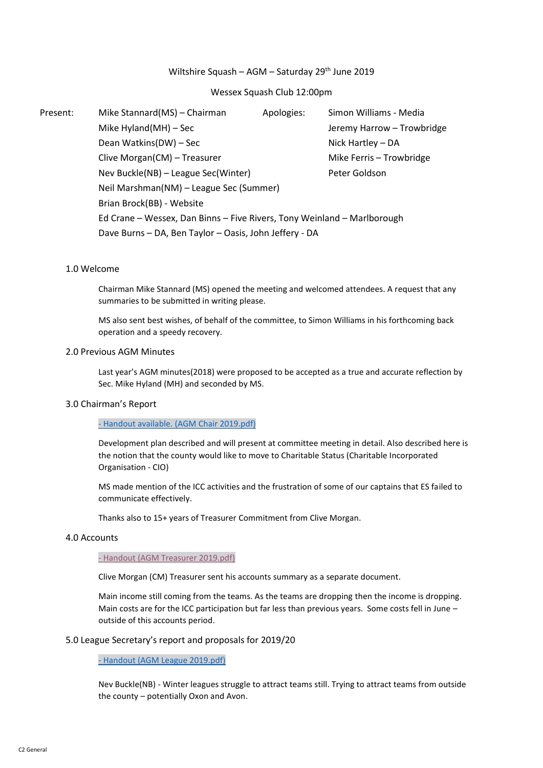# Wiltshire Squash – AGM – Saturday  $29<sup>th</sup>$  June 2019

## Wessex Squash Club 12:00pm

Present: Mike Stannard(MS) – Chairman Apologies: Simon Williams - Media Mike Hyland(MH) – Sec Jeremy Harrow – Trowbridge Dean Watkins(DW) – Sec Nick Hartley – DA Clive Morgan(CM) – Treasurer Mike Ferris – Trowbridge Nev Buckle(NB) – League Sec(Winter) Peter Goldson Neil Marshman(NM) – League Sec (Summer) Brian Brock(BB) - Website Ed Crane – Wessex, Dan Binns – Five Rivers, Tony Weinland – Marlborough Dave Burns – DA, Ben Taylor – Oasis, John Jeffery - DA

#### 1.0 Welcome

Chairman Mike Stannard (MS) opened the meeting and welcomed attendees. A request that any summaries to be submitted in writing please.

MS also sent best wishes, of behalf of the committee, to Simon Williams in his forthcoming back operation and a speedy recovery.

## 2.0 Previous AGM Minutes

Last year's AGM minutes(2018) were proposed to be accepted as a true and accurate reflection by Sec. Mike Hyland (MH) and seconded by MS.

## 3.0 Chairman's Report

## - [Handout available. \(AGM Chair 2019.pdf\)](http://www.wiltssquash.co.uk/SiteContent/Documents/Minutes/20190629_AGM%20Chair%202019.pdf)

Development plan described and will present at committee meeting in detail. Also described here is the notion that the county would like to move to Charitable Status (Charitable Incorporated Organisation - CIO)

MS made mention of the ICC activities and the frustration of some of our captains that ES failed to communicate effectively.

Thanks also to 15+ years of Treasurer Commitment from Clive Morgan.

## 4.0 Accounts

#### - [Handout \(AGM Treasurer 2019.pdf\)](http://www.wiltssquash.co.uk/SiteContent/Documents/Minutes/20190629_AGM%20Treasurer%202019.pdf)

Clive Morgan (CM) Treasurer sent his accounts summary as a separate document.

Main income still coming from the teams. As the teams are dropping then the income is dropping. Main costs are for the ICC participation but far less than previous years. Some costs fell in June – outside of this accounts period.

#### 5.0 League Secretary's report and proposals for 2019/20

- [Handout \(AGM League 2019.pdf\)](http://www.wiltssquash.co.uk/SiteContent/Documents/Minutes/20190629_AGM%20League%202019.pdf)

Nev Buckle(NB) - Winter leagues struggle to attract teams still. Trying to attract teams from outside the county – potentially Oxon and Avon.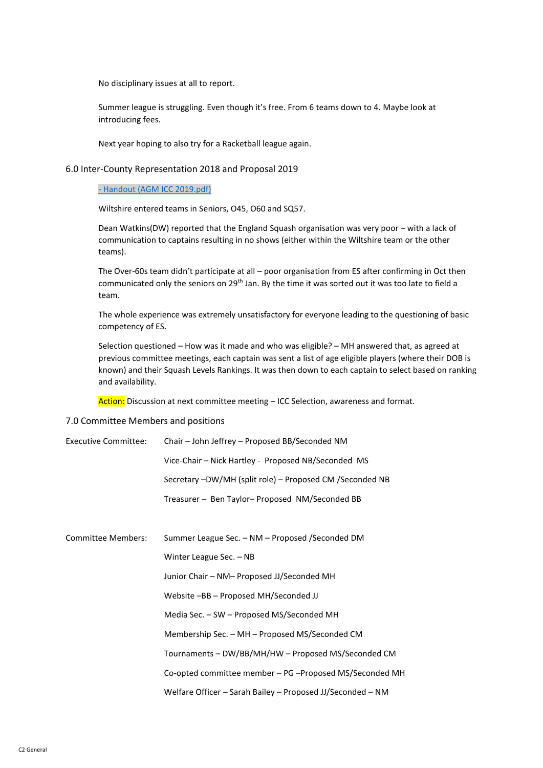No disciplinary issues at all to report.

Summer league is struggling. Even though it's free. From 6 teams down to 4. Maybe look at introducing fees.

Next year hoping to also try for a Racketball league again.

## 6.0 Inter-County Representation 2018 and Proposal 2019

#### - [Handout \(AGM ICC 2019.pdf\)](http://www.wiltssquash.co.uk/SiteContent/Documents/Minutes/20190629_AGM%20ICC%202019.pdf)

Wiltshire entered teams in Seniors, O45, O60 and SQ57.

Dean Watkins(DW) reported that the England Squash organisation was very poor – with a lack of communication to captains resulting in no shows (either within the Wiltshire team or the other teams).

The Over-60s team didn't participate at all – poor organisation from ES after confirming in Oct then communicated only the seniors on 29<sup>th</sup> Jan. By the time it was sorted out it was too late to field a team.

The whole experience was extremely unsatisfactory for everyone leading to the questioning of basic competency of ES.

Selection questioned – How was it made and who was eligible? – MH answered that, as agreed at previous committee meetings, each captain was sent a list of age eligible players (where their DOB is known) and their Squash Levels Rankings. It was then down to each captain to select based on ranking and availability.

Action: Discussion at next committee meeting - ICC Selection, awareness and format.

#### 7.0 Committee Members and positions

| <b>Executive Committee:</b> | Chair – John Jeffrey – Proposed BB/Seconded NM             |
|-----------------------------|------------------------------------------------------------|
|                             | Vice-Chair - Nick Hartley - Proposed NB/Seconded MS        |
|                             | Secretary -DW/MH (split role) - Proposed CM /Seconded NB   |
|                             | Treasurer - Ben Taylor-Proposed NM/Seconded BB             |
|                             |                                                            |
| <b>Committee Members:</b>   | Summer League Sec. - NM - Proposed /Seconded DM            |
|                             | Winter League Sec. - NB                                    |
|                             | Junior Chair - NM- Proposed JJ/Seconded MH                 |
|                             | Website -BB - Proposed MH/Seconded JJ                      |
|                             | Media Sec. - SW - Proposed MS/Seconded MH                  |
|                             | Membership Sec. - MH - Proposed MS/Seconded CM             |
|                             | Tournaments - DW/BB/MH/HW - Proposed MS/Seconded CM        |
|                             | Co-opted committee member – PG – Proposed MS/Seconded MH   |
|                             | Welfare Officer - Sarah Bailey - Proposed JJ/Seconded - NM |